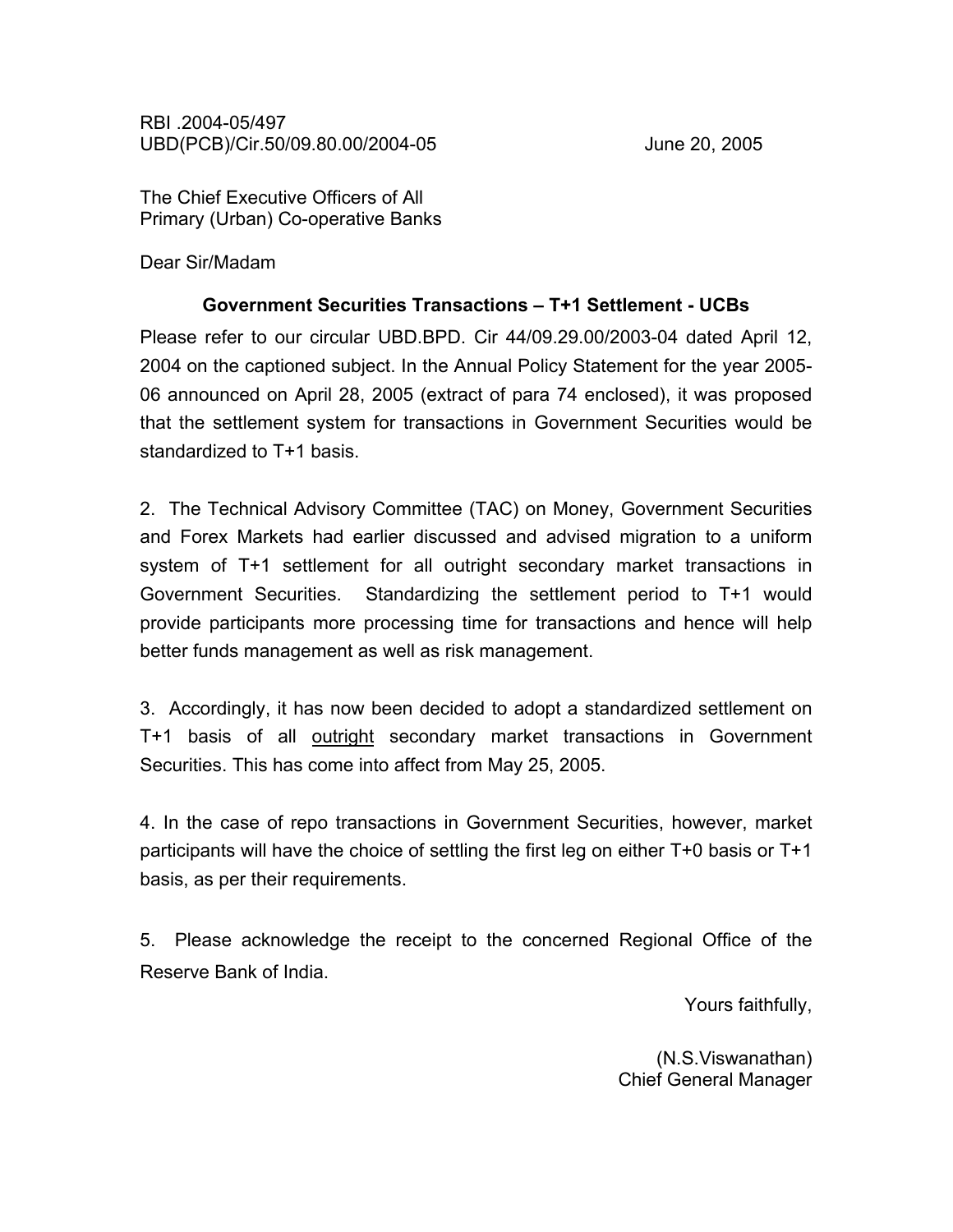RBI .2004-05/497 UBD(PCB)/Cir.50/09.80.00/2004-05 June 20, 2005

The Chief Executive Officers of All Primary (Urban) Co-operative Banks

Dear Sir/Madam

## Government Securities Transactions – T+1 Settlement - UCBs

Please refer to our circular UBD.BPD. Cir 44/09.29.00/2003-04 dated April 12, 2004 on the captioned subject. In the Annual Policy Statement for the year 2005- 06 announced on April 28, 2005 (extract of para 74 enclosed), it was proposed that the settlement system for transactions in Government Securities would be standardized to T+1 basis.

2. The Technical Advisory Committee (TAC) on Money, Government Securities and Forex Markets had earlier discussed and advised migration to a uniform system of T+1 settlement for all outright secondary market transactions in Government Securities. Standardizing the settlement period to T+1 would provide participants more processing time for transactions and hence will help better funds management as well as risk management.

3. Accordingly, it has now been decided to adopt a standardized settlement on T+1 basis of all outright secondary market transactions in Government Securities. This has come into affect from May 25, 2005.

4. In the case of repo transactions in Government Securities, however, market participants will have the choice of settling the first leg on either T+0 basis or T+1 basis, as per their requirements.

5. Please acknowledge the receipt to the concerned Regional Office of the Reserve Bank of India.

Yours faithfully,

(N.S.Viswanathan) Chief General Manager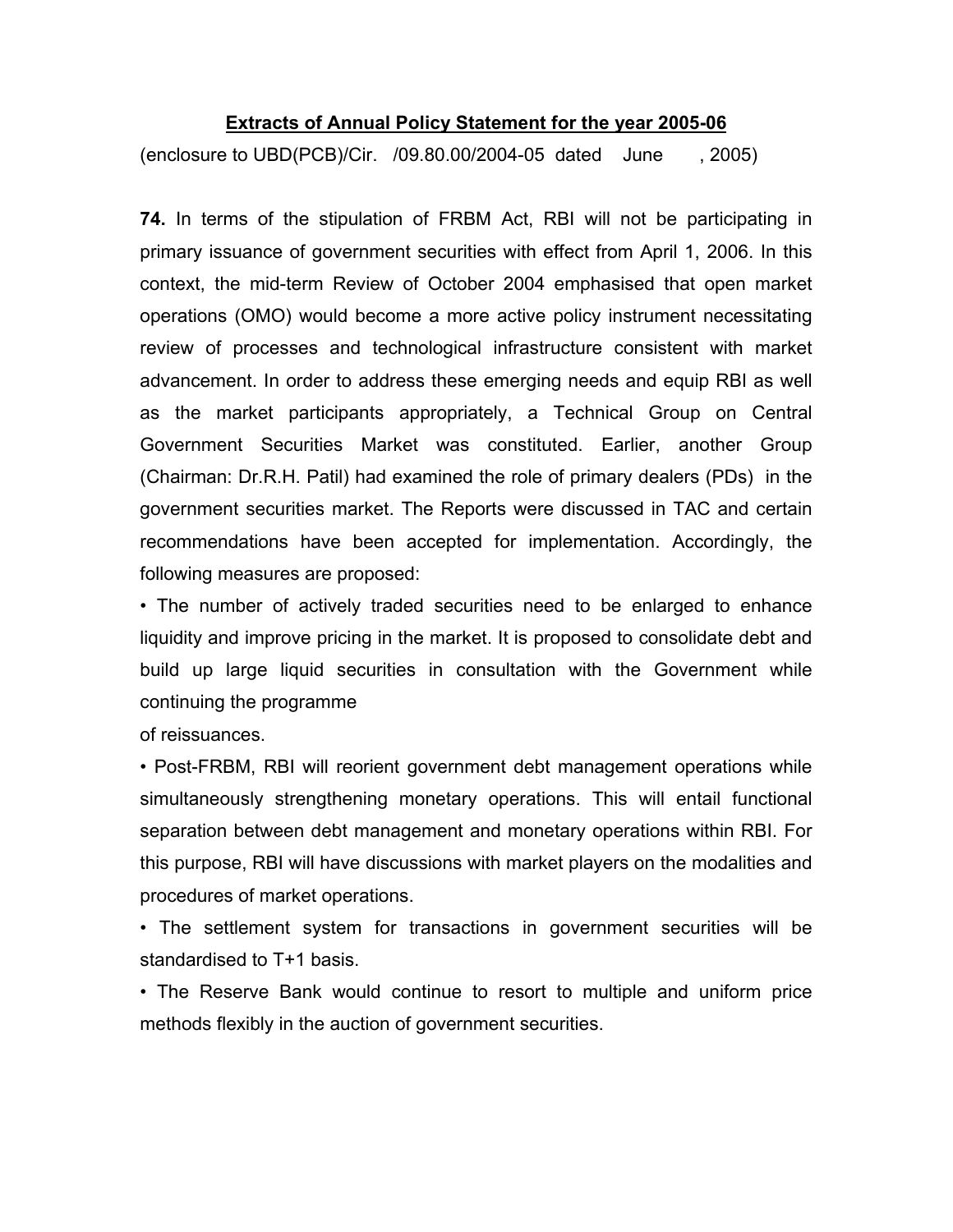## Extracts of Annual Policy Statement for the year 2005-06

(enclosure to UBD(PCB)/Cir. /09.80.00/2004-05 dated June , 2005)

74. In terms of the stipulation of FRBM Act, RBI will not be participating in primary issuance of government securities with effect from April 1, 2006. In this context, the mid-term Review of October 2004 emphasised that open market operations (OMO) would become a more active policy instrument necessitating review of processes and technological infrastructure consistent with market advancement. In order to address these emerging needs and equip RBI as well as the market participants appropriately, a Technical Group on Central Government Securities Market was constituted. Earlier, another Group (Chairman: Dr.R.H. Patil) had examined the role of primary dealers (PDs) in the government securities market. The Reports were discussed in TAC and certain recommendations have been accepted for implementation. Accordingly, the following measures are proposed:

• The number of actively traded securities need to be enlarged to enhance liquidity and improve pricing in the market. It is proposed to consolidate debt and build up large liquid securities in consultation with the Government while continuing the programme

of reissuances.

• Post-FRBM, RBI will reorient government debt management operations while simultaneously strengthening monetary operations. This will entail functional separation between debt management and monetary operations within RBI. For this purpose, RBI will have discussions with market players on the modalities and procedures of market operations.

• The settlement system for transactions in government securities will be standardised to T+1 basis.

• The Reserve Bank would continue to resort to multiple and uniform price methods flexibly in the auction of government securities.